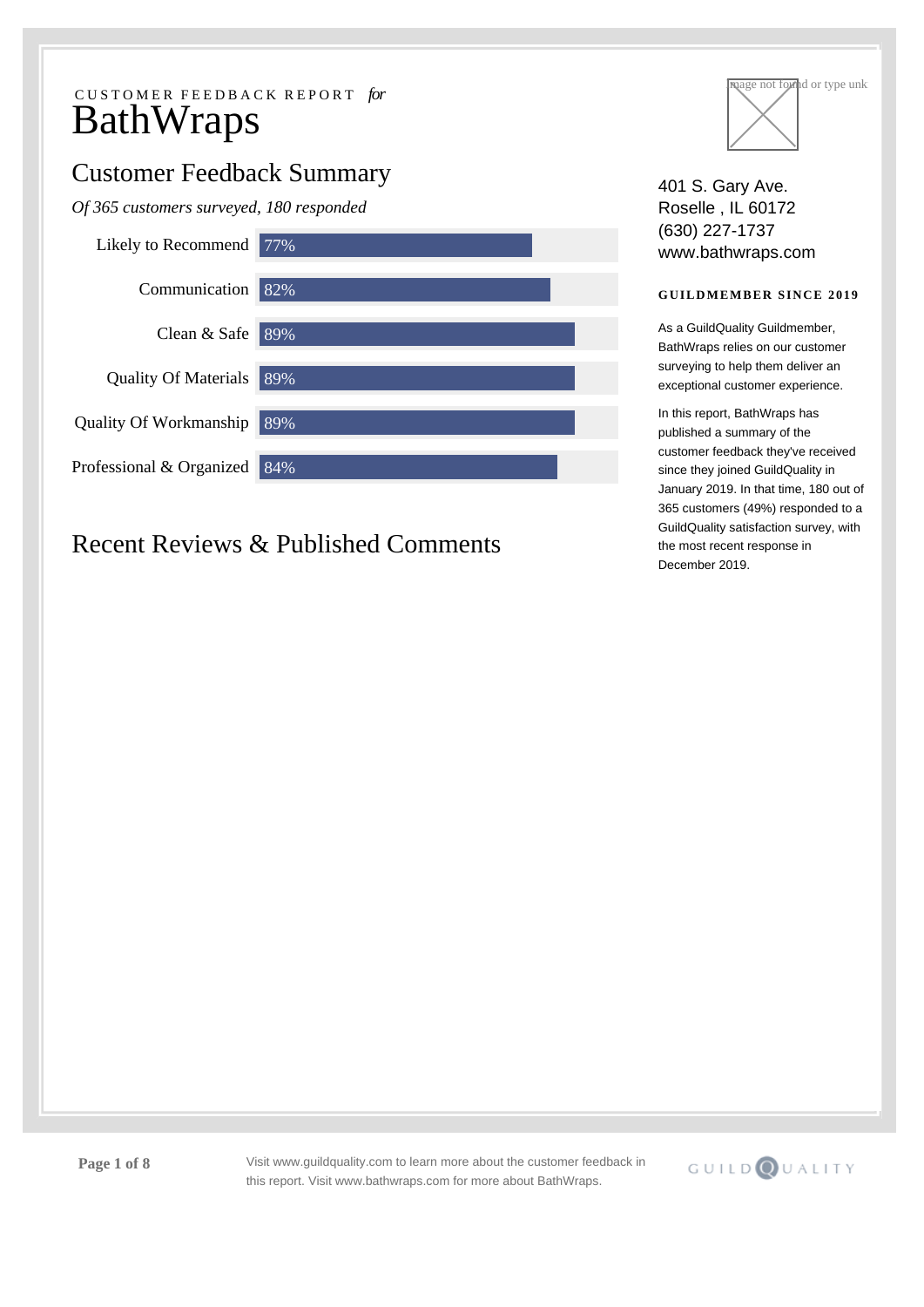# Customer Feedback Summary

*Of 365 customers surveyed, 180 responded*



# Recent Reviews & Published Comments



401 S. Gary Ave. Roselle , IL 60172 (630) 227-1737 www.bathwraps.com

## **GUILDMEMBER SINCE 2019**

As a GuildQuality Guildmember, BathWraps relies on our customer surveying to help them deliver an exceptional customer experience.

In this report, BathWraps has published a summary of the customer feedback they've received since they joined GuildQuality in January 2019. In that time, 180 out of 365 customers (49%) responded to a GuildQuality satisfaction survey, with the most recent response in December 2019.

**Page 1 of 8** Visit www.guildquality.com to learn more about the customer feedback in this report. Visit www.bathwraps.com for more about BathWraps.

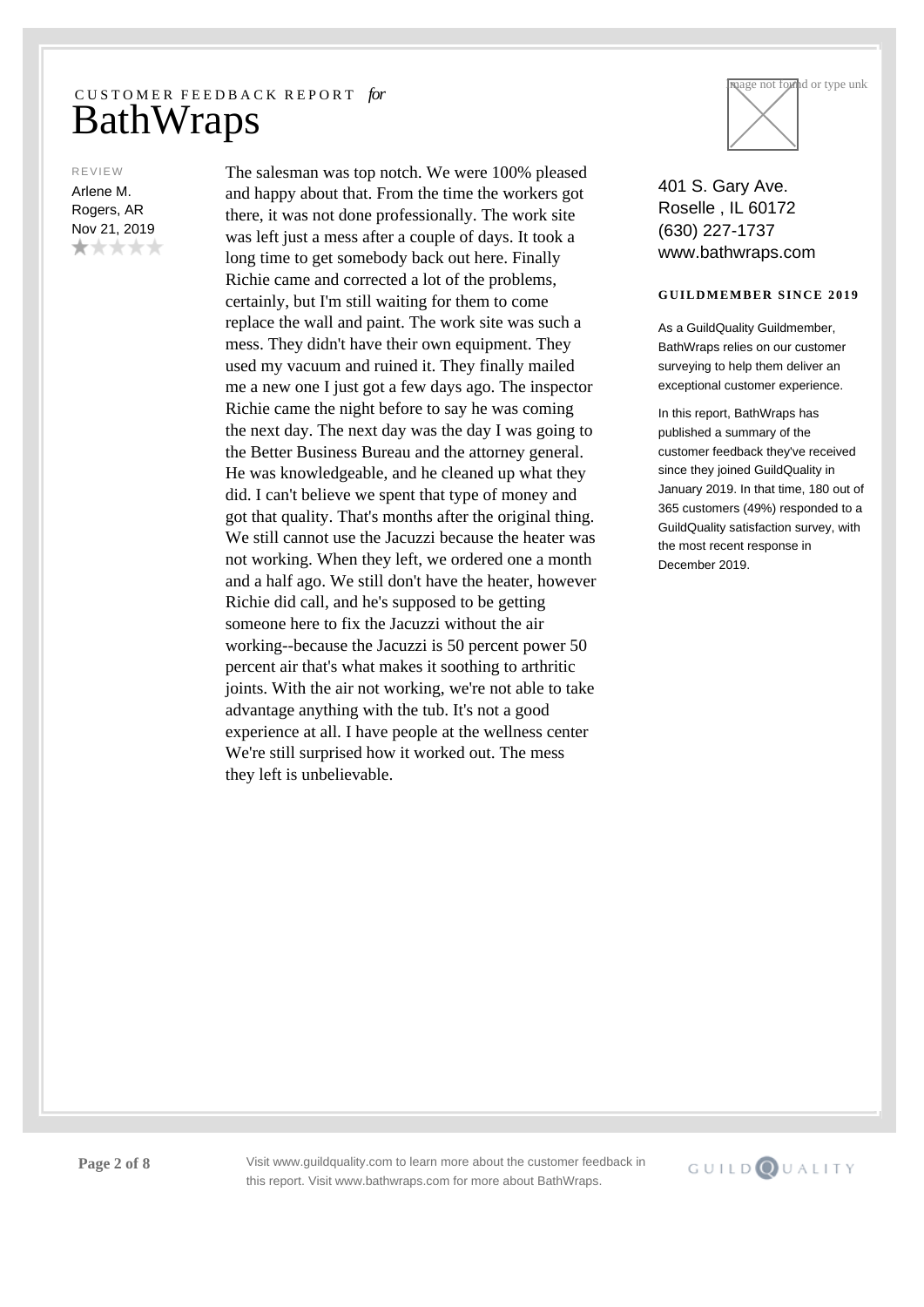REVIEW

Arlene M. Rogers, AR Nov 21, 2019 \*\*\*\*\* The salesman was top notch. We were 100% pleased and happy about that. From the time the workers got there, it was not done professionally. The work site was left just a mess after a couple of days. It took a long time to get somebody back out here. Finally Richie came and corrected a lot of the problems, certainly, but I'm still waiting for them to come replace the wall and paint. The work site was such a mess. They didn't have their own equipment. They used my vacuum and ruined it. They finally mailed me a new one I just got a few days ago. The inspector Richie came the night before to say he was coming the next day. The next day was the day I was going to the Better Business Bureau and the attorney general. He was knowledgeable, and he cleaned up what they did. I can't believe we spent that type of money and got that quality. That's months after the original thing. We still cannot use the Jacuzzi because the heater was not working. When they left, we ordered one a month and a half ago. We still don't have the heater, however Richie did call, and he's supposed to be getting someone here to fix the Jacuzzi without the air working--because the Jacuzzi is 50 percent power 50 percent air that's what makes it soothing to arthritic joints. With the air not working, we're not able to take advantage anything with the tub. It's not a good experience at all. I have people at the wellness center We're still surprised how it worked out. The mess they left is unbelievable.



401 S. Gary Ave. Roselle , IL 60172 (630) 227-1737 www.bathwraps.com

### **GUILDMEMBER SINCE 2019**

As a GuildQuality Guildmember, BathWraps relies on our customer surveying to help them deliver an exceptional customer experience.

In this report, BathWraps has published a summary of the customer feedback they've received since they joined GuildQuality in January 2019. In that time, 180 out of 365 customers (49%) responded to a GuildQuality satisfaction survey, with the most recent response in December 2019.

**Page 2 of 8** Visit www.guildquality.com to learn more about the customer feedback in this report. Visit www.bathwraps.com for more about BathWraps.

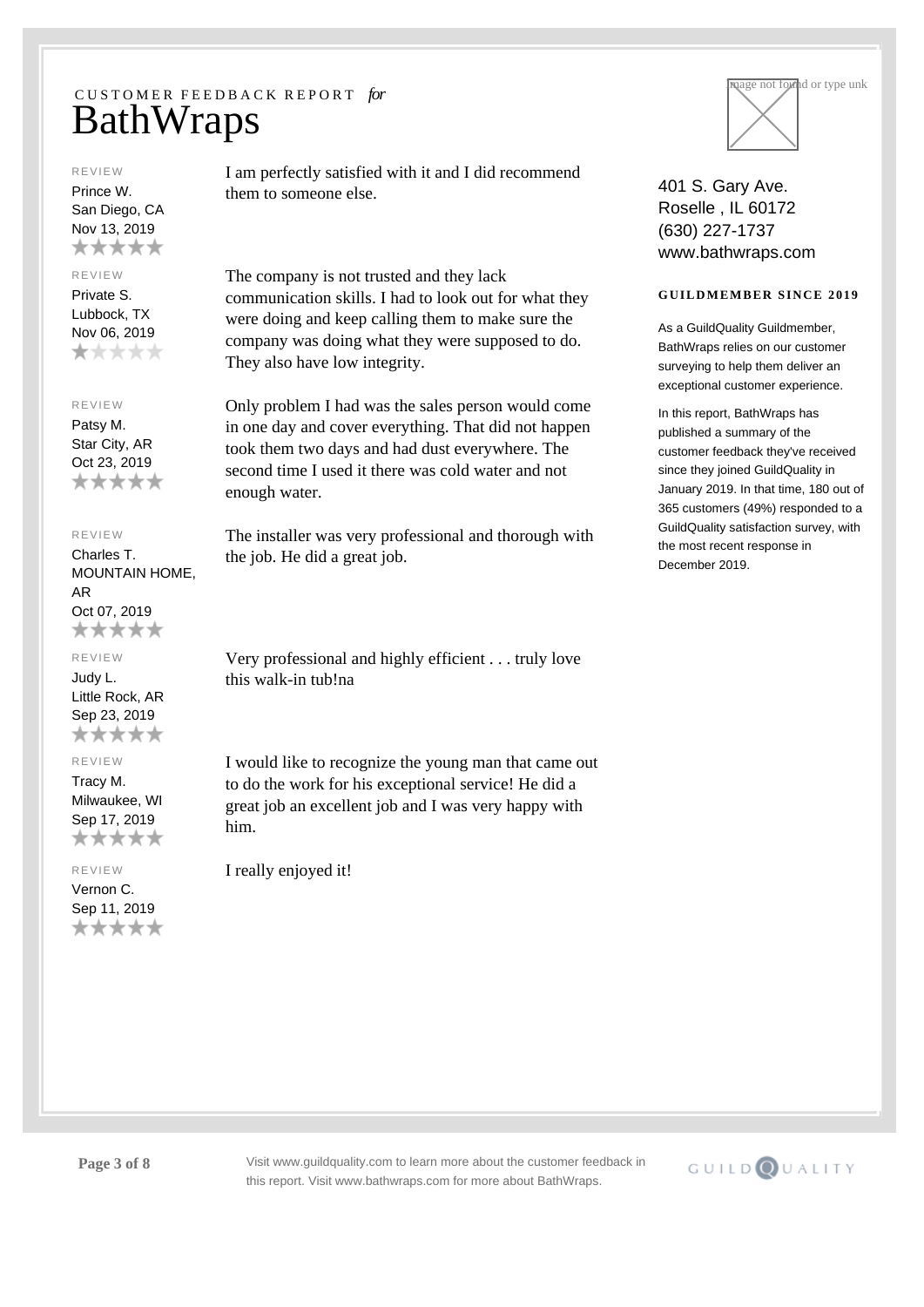#### REVIEW

Prince W. San Diego, CA Nov 13, 2019 \*\*\*\*\*

## REVIEW

Private S. Lubbock, TX Nov 06, 2019 \*\*\*\*\*

### REVIEW

Patsy M. Star City, AR Oct 23, 2019 \*\*\*\*\*

### REVIEW

Charles T. MOUNTAIN HOME, AR Oct 07, 2019 \*\*\*\*\*

### REVIEW

Judy L. Little Rock, AR Sep 23, 2019 \*\*\*\*\*

# REVIEW

Tracy M. Milwaukee, WI Sep 17, 2019 \*\*\*\*\*

#### REVIEW

Vernon C. Sep 11, 2019 \*\*\*\*\* I am perfectly satisfied with it and I did recommend them to someone else.

The company is not trusted and they lack communication skills. I had to look out for what they were doing and keep calling them to make sure the company was doing what they were supposed to do. They also have low integrity.

Only problem I had was the sales person would come in one day and cover everything. That did not happen took them two days and had dust everywhere. The second time I used it there was cold water and not enough water.

The installer was very professional and thorough with the job. He did a great job.

Very professional and highly efficient . . . truly love this walk-in tub!na

I would like to recognize the young man that came out to do the work for his exceptional service! He did a great job an excellent job and I was very happy with him.

I really enjoyed it!



401 S. Gary Ave. Roselle , IL 60172 (630) 227-1737 www.bathwraps.com

### **GUILDMEMBER SINCE 2019**

As a GuildQuality Guildmember, BathWraps relies on our customer surveying to help them deliver an exceptional customer experience.

In this report, BathWraps has published a summary of the customer feedback they've received since they joined GuildQuality in January 2019. In that time, 180 out of 365 customers (49%) responded to a GuildQuality satisfaction survey, with the most recent response in December 2019.



**Page 3 of 8** Visit www.guildquality.com to learn more about the customer feedback in this report. Visit www.bathwraps.com for more about BathWraps.

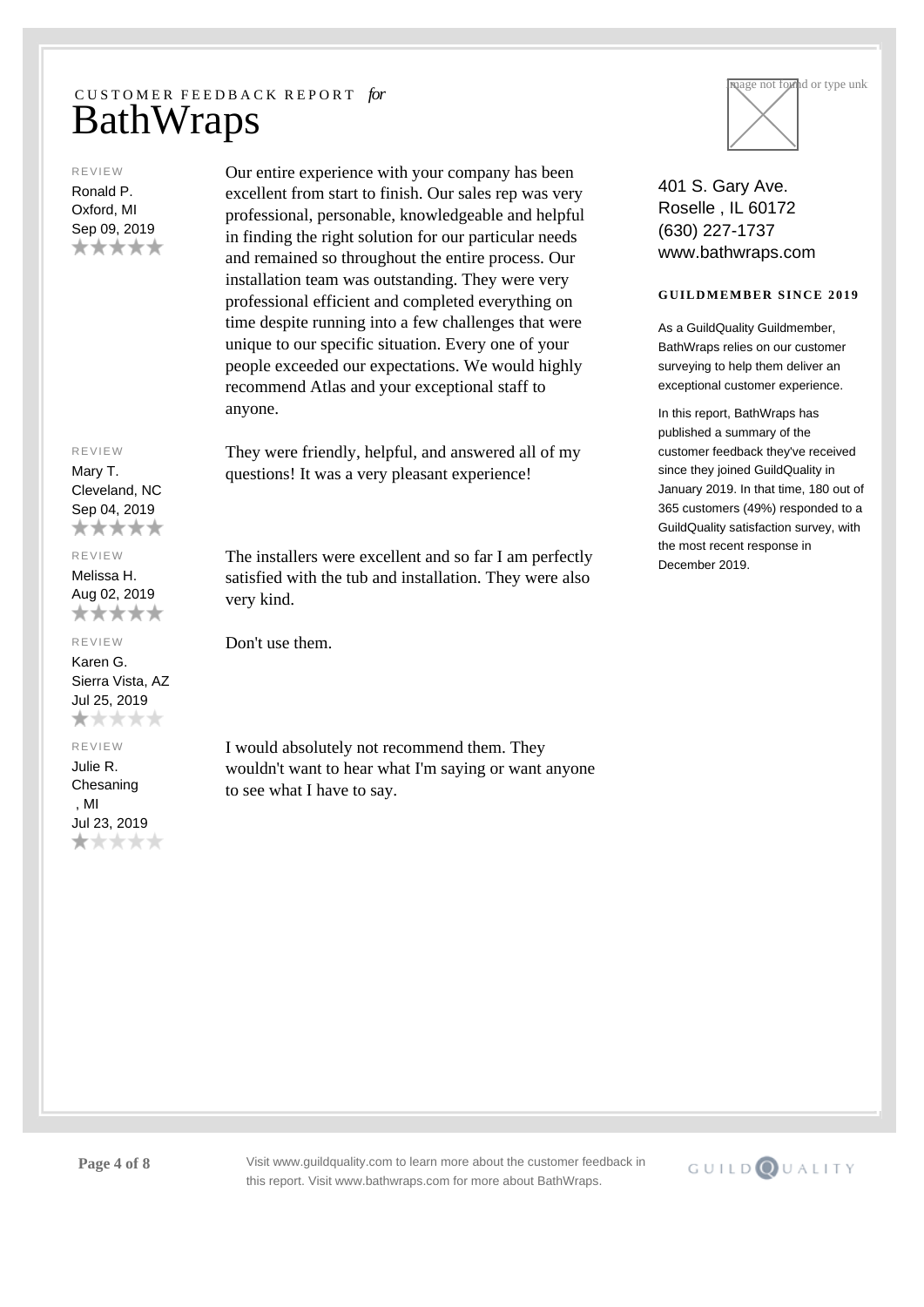#### REVIEW

Ronald P. Oxford, MI Sep 09, 2019 \*\*\*\*\*

### REVIEW

Mary T. Cleveland, NC Sep 04, 2019 \*\*\*\*\*

#### REVIEW

Melissa H. Aug 02, 2019 \*\*\*\*\*

#### REVIEW

Karen G. Sierra Vista, AZ Jul 25, 2019 \*\*\*\*\*

### REVIEW

Julie R. Chesaning , MI Jul 23, 2019 \*\*\*\*\* Our entire experience with your company has been excellent from start to finish. Our sales rep was very professional, personable, knowledgeable and helpful in finding the right solution for our particular needs and remained so throughout the entire process. Our installation team was outstanding. They were very professional efficient and completed everything on time despite running into a few challenges that were unique to our specific situation. Every one of your people exceeded our expectations. We would highly recommend Atlas and your exceptional staff to anyone.

They were friendly, helpful, and answered all of my questions! It was a very pleasant experience!

The installers were excellent and so far I am perfectly satisfied with the tub and installation. They were also very kind.

Don't use them.

I would absolutely not recommend them. They wouldn't want to hear what I'm saying or want anyone to see what I have to say.



401 S. Gary Ave. Roselle , IL 60172 (630) 227-1737 www.bathwraps.com

### **GUILDMEMBER SINCE 2019**

As a GuildQuality Guildmember, BathWraps relies on our customer surveying to help them deliver an exceptional customer experience.

In this report, BathWraps has published a summary of the customer feedback they've received since they joined GuildQuality in January 2019. In that time, 180 out of 365 customers (49%) responded to a GuildQuality satisfaction survey, with the most recent response in December 2019.

**Page 4 of 8** Visit www.guildquality.com to learn more about the customer feedback in this report. Visit www.bathwraps.com for more about BathWraps.

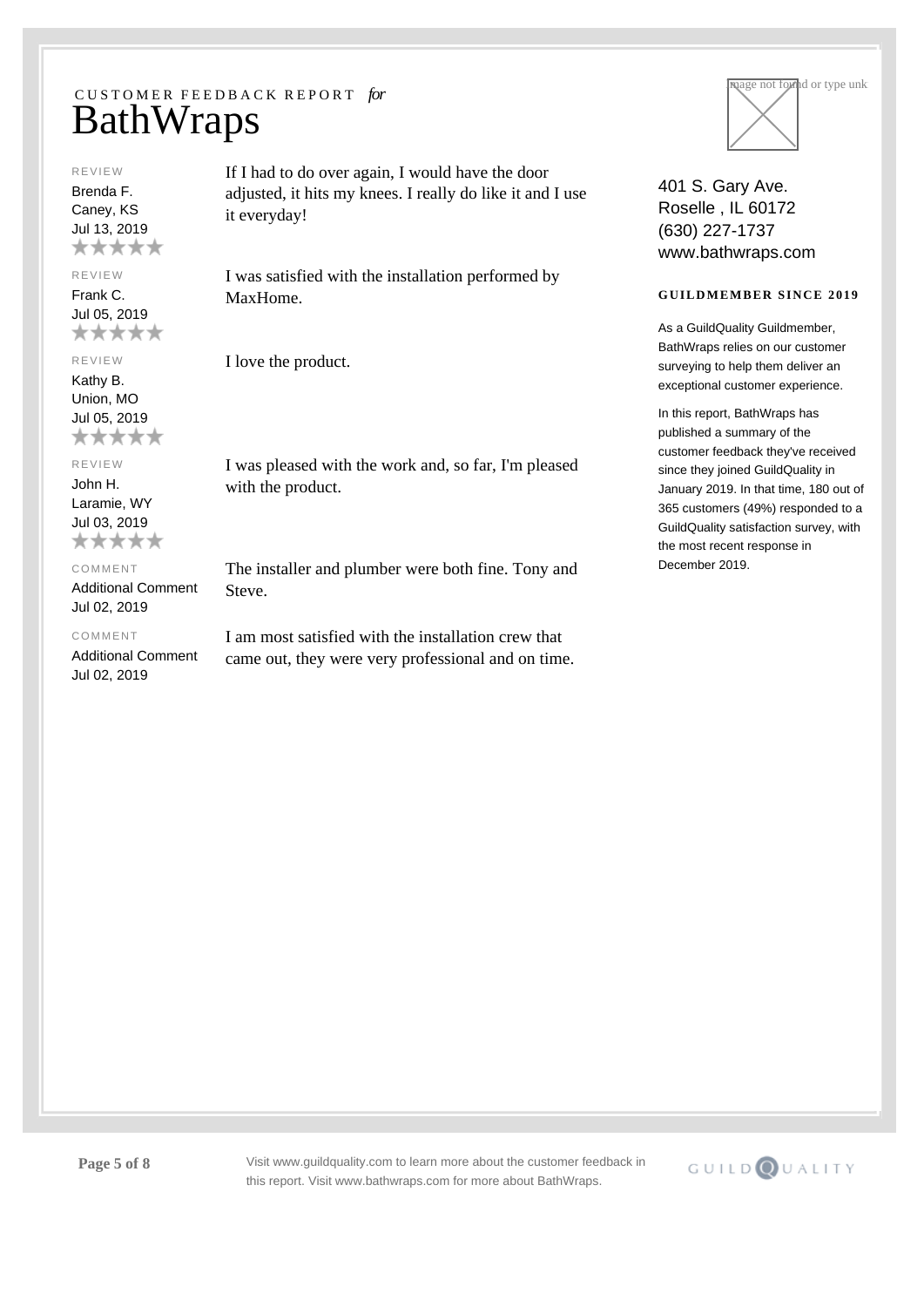#### REVIEW

Brenda F. Caney, KS Jul 13, 2019 \*\*\*\*\*

## REVIEW

Frank C. Jul 05, 2019 \*\*\*\*\*

REVIEW

Kathy B. Union, MO Jul 05, 2019 \*\*\*\*\*

## REVIEW

John H. Laramie, WY Jul 03, 2019 \*\*\*\*\*

COMMENT

## Additional Comment Jul 02, 2019

### COMMENT

Additional Comment Jul 02, 2019

If I had to do over again, I would have the door adjusted, it hits my knees. I really do like it and I use it everyday!

I was satisfied with the installation performed by MaxHome.

I love the product.

I was pleased with the work and, so far, I'm pleased with the product.

The installer and plumber were both fine. Tony and Steve.

I am most satisfied with the installation crew that came out, they were very professional and on time.



401 S. Gary Ave. Roselle , IL 60172 (630) 227-1737 www.bathwraps.com

### **GUILDMEMBER SINCE 2019**

As a GuildQuality Guildmember, BathWraps relies on our customer surveying to help them deliver an exceptional customer experience.

In this report, BathWraps has published a summary of the customer feedback they've received since they joined GuildQuality in January 2019. In that time, 180 out of 365 customers (49%) responded to a GuildQuality satisfaction survey, with the most recent response in December 2019.

**Page 5 of 8** Visit www.guildquality.com to learn more about the customer feedback in this report. Visit www.bathwraps.com for more about BathWraps.

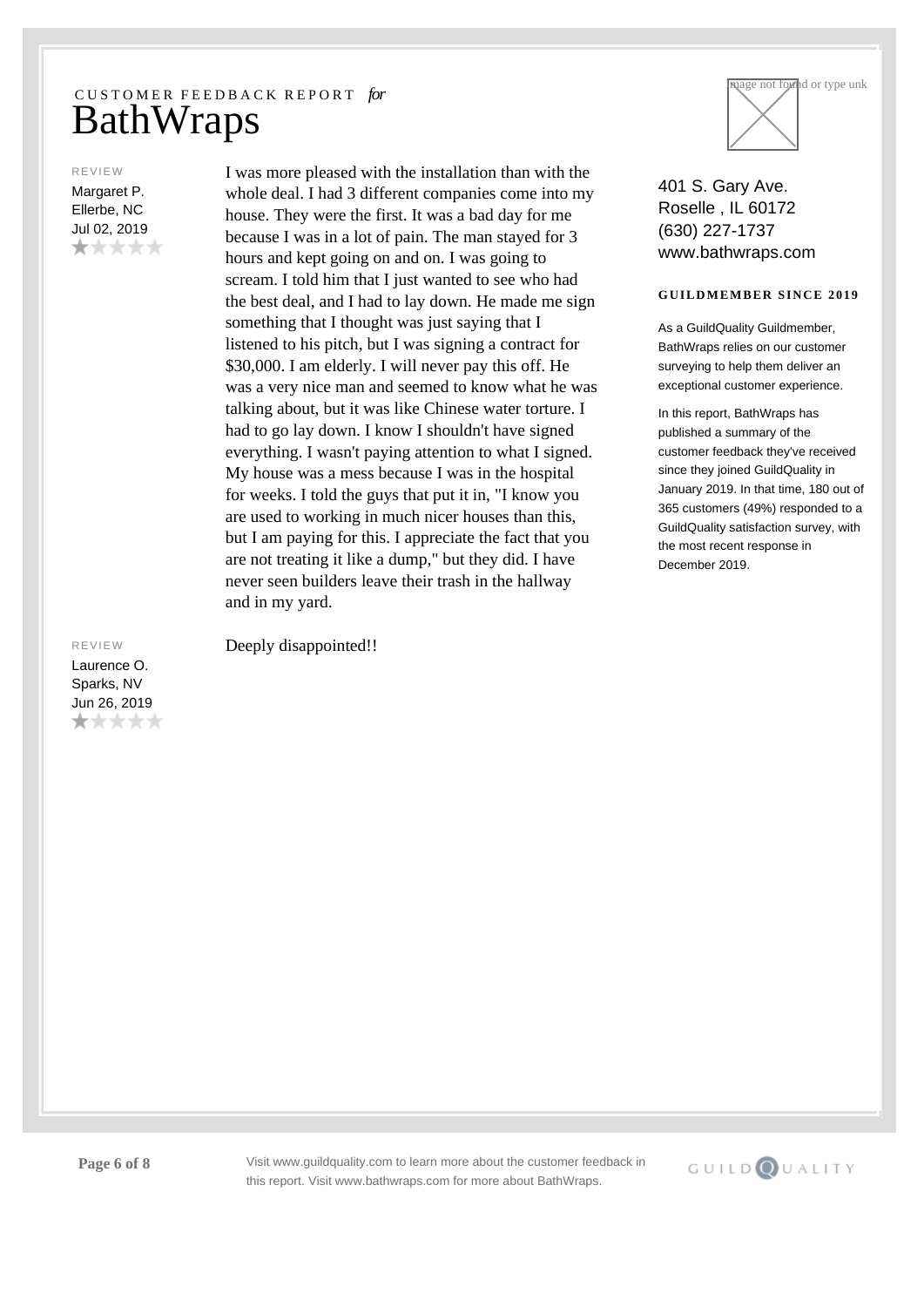#### REVIEW

Margaret P. Ellerbe, NC Jul 02, 2019 \*\*\*\*\* I was more pleased with the installation than with the whole deal. I had 3 different companies come into my house. They were the first. It was a bad day for me because I was in a lot of pain. The man stayed for 3 hours and kept going on and on. I was going to scream. I told him that I just wanted to see who had the best deal, and I had to lay down. He made me sign something that I thought was just saying that I listened to his pitch, but I was signing a contract for \$30,000. I am elderly. I will never pay this off. He was a very nice man and seemed to know what he was talking about, but it was like Chinese water torture. I had to go lay down. I know I shouldn't have signed everything. I wasn't paying attention to what I signed. My house was a mess because I was in the hospital for weeks. I told the guys that put it in, "I know you are used to working in much nicer houses than this, but I am paying for this. I appreciate the fact that you are not treating it like a dump," but they did. I have never seen builders leave their trash in the hallway and in my yard.

REVIEW Laurence O. Sparks, NV Jun 26, 2019 \*\*\*\*\* Deeply disappointed!!



401 S. Gary Ave. Roselle , IL 60172 (630) 227-1737 www.bathwraps.com

### **GUILDMEMBER SINCE 2019**

As a GuildQuality Guildmember, BathWraps relies on our customer surveying to help them deliver an exceptional customer experience.

In this report, BathWraps has published a summary of the customer feedback they've received since they joined GuildQuality in January 2019. In that time, 180 out of 365 customers (49%) responded to a GuildQuality satisfaction survey, with the most recent response in December 2019.

**Page 6 of 8** Visit www.guildquality.com to learn more about the customer feedback in this report. Visit www.bathwraps.com for more about BathWraps.

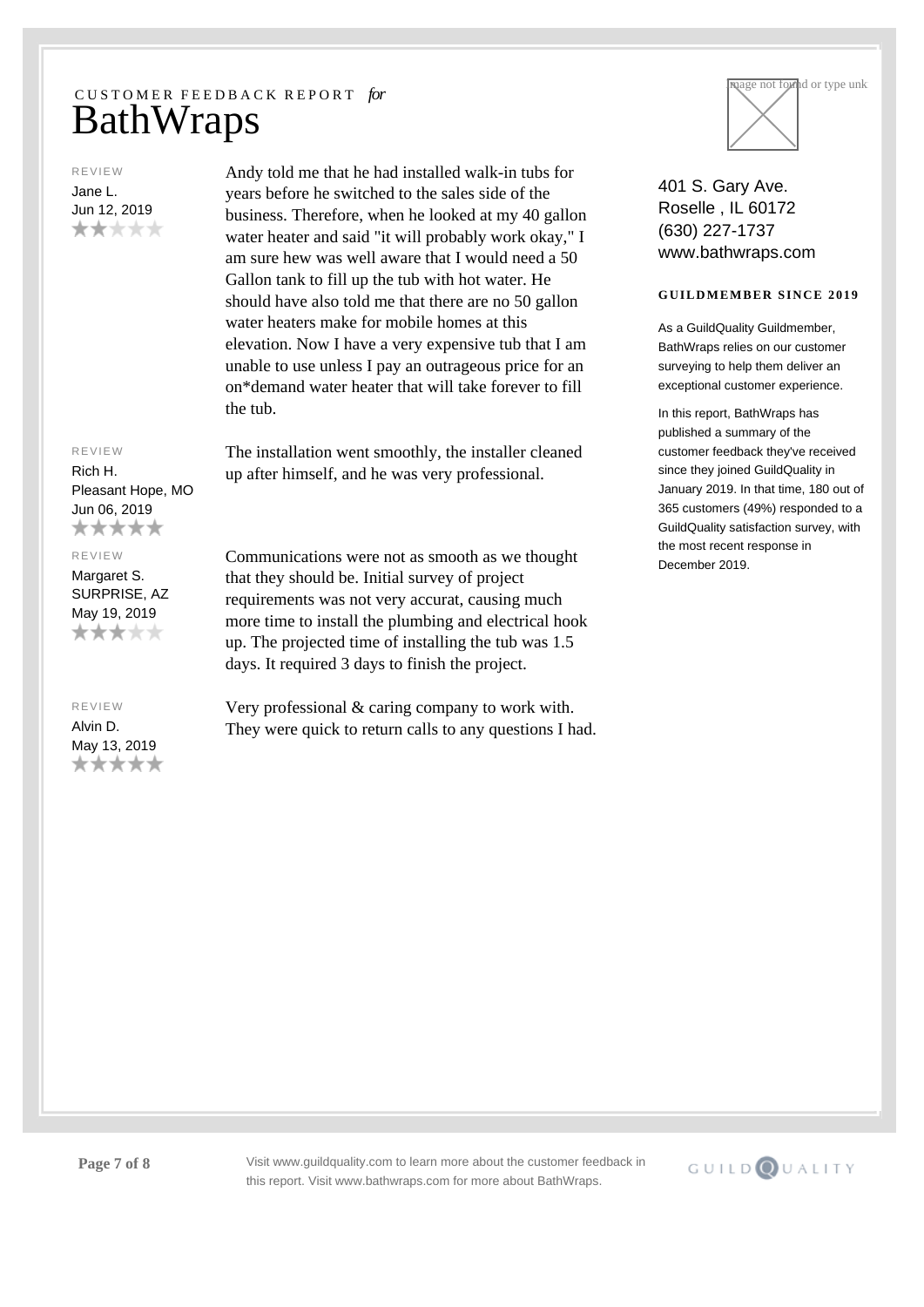## REVIEW Jane L. Jun 12, 2019 \*\*\*\*\*

years before he switched to the sales side of the business. Therefore, when he looked at my 40 gallon water heater and said "it will probably work okay," I am sure hew was well aware that I would need a 50 Gallon tank to fill up the tub with hot water. He should have also told me that there are no 50 gallon water heaters make for mobile homes at this elevation. Now I have a very expensive tub that I am unable to use unless I pay an outrageous price for an on\*demand water heater that will take forever to fill the tub.

Andy told me that he had installed walk-in tubs for

The installation went smoothly, the installer cleaned up after himself, and he was very professional.

Pleasant Hope, MO Jun 06, 2019 \*\*\*\*\* REVIEW

REVIEW Rich H.

Margaret S. SURPRISE, AZ May 19, 2019 \*\*\*\*\*

#### REVIEW

Alvin D. May 13, 2019 \*\*\*\*\* Communications were not as smooth as we thought that they should be. Initial survey of project requirements was not very accurat, causing much more time to install the plumbing and electrical hook up. The projected time of installing the tub was 1.5 days. It required 3 days to finish the project.

Very professional & caring company to work with. They were quick to return calls to any questions I had.



401 S. Gary Ave. Roselle , IL 60172 (630) 227-1737 www.bathwraps.com

### **GUILDMEMBER SINCE 2019**

As a GuildQuality Guildmember, BathWraps relies on our customer surveying to help them deliver an exceptional customer experience.

In this report, BathWraps has published a summary of the customer feedback they've received since they joined GuildQuality in January 2019. In that time, 180 out of 365 customers (49%) responded to a GuildQuality satisfaction survey, with the most recent response in December 2019.

**Page 7 of 8** Visit www.guildquality.com to learn more about the customer feedback in this report. Visit www.bathwraps.com for more about BathWraps.